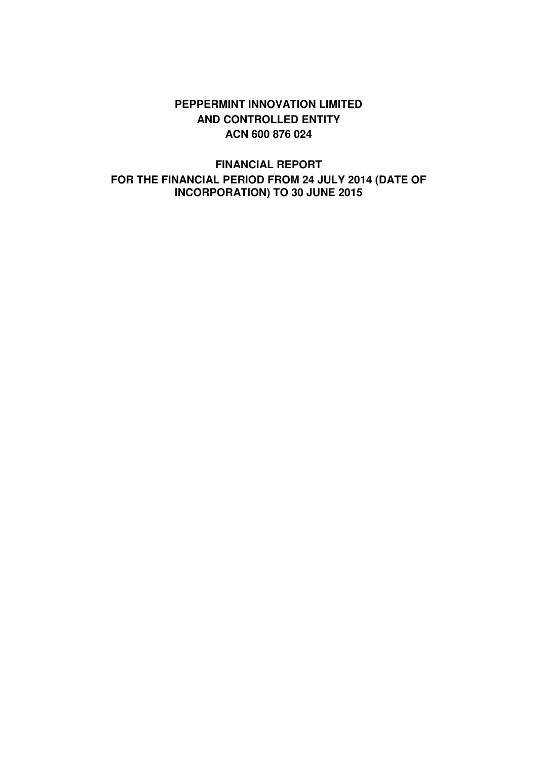# **PEPPERMINT INNOVATION LIMITED AND CONTROLLED ENTITY ACN 600 876 024**

# **FINANCIAL REPORT FOR THE FINANCIAL PERIOD FROM 24 JULY 2014 (DATE OF INCORPORATION) TO 30 JUNE 2015**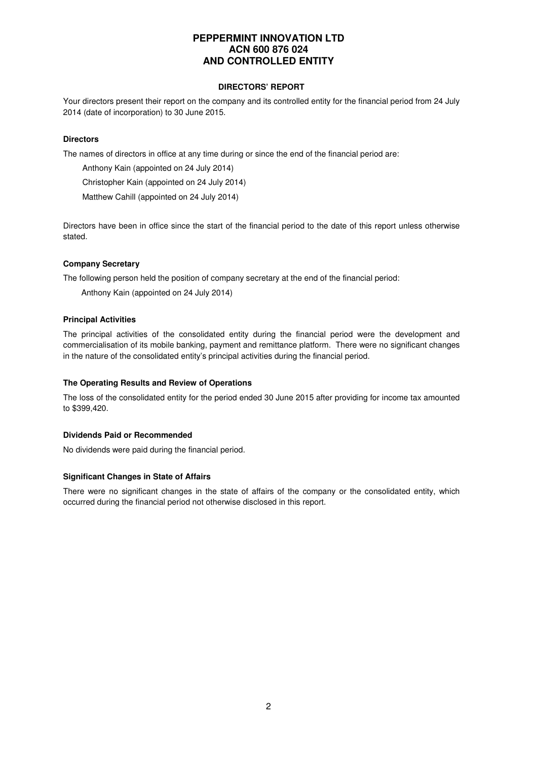### **DIRECTORS' REPORT**

Your directors present their report on the company and its controlled entity for the financial period from 24 July 2014 (date of incorporation) to 30 June 2015.

### **Directors**

The names of directors in office at any time during or since the end of the financial period are:

Anthony Kain (appointed on 24 July 2014)

Christopher Kain (appointed on 24 July 2014)

Matthew Cahill (appointed on 24 July 2014)

Directors have been in office since the start of the financial period to the date of this report unless otherwise stated.

### **Company Secretary**

The following person held the position of company secretary at the end of the financial period:

Anthony Kain (appointed on 24 July 2014)

### **Principal Activities**

The principal activities of the consolidated entity during the financial period were the development and commercialisation of its mobile banking, payment and remittance platform. There were no significant changes in the nature of the consolidated entity's principal activities during the financial period.

### **The Operating Results and Review of Operations**

The loss of the consolidated entity for the period ended 30 June 2015 after providing for income tax amounted to \$399,420.

### **Dividends Paid or Recommended**

No dividends were paid during the financial period.

### **Significant Changes in State of Affairs**

There were no significant changes in the state of affairs of the company or the consolidated entity, which occurred during the financial period not otherwise disclosed in this report.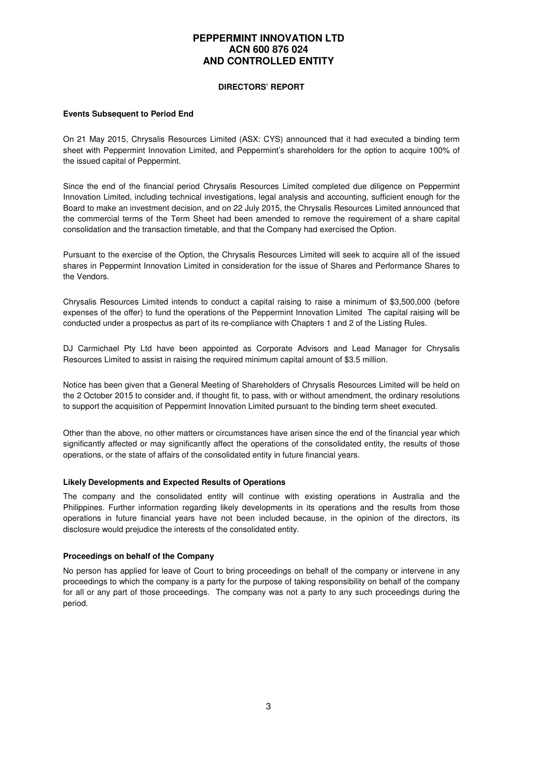### **DIRECTORS' REPORT**

### **Events Subsequent to Period End**

On 21 May 2015, Chrysalis Resources Limited (ASX: CYS) announced that it had executed a binding term sheet with Peppermint Innovation Limited, and Peppermint's shareholders for the option to acquire 100% of the issued capital of Peppermint.

Since the end of the financial period Chrysalis Resources Limited completed due diligence on Peppermint Innovation Limited, including technical investigations, legal analysis and accounting, sufficient enough for the Board to make an investment decision, and on 22 July 2015, the Chrysalis Resources Limited announced that the commercial terms of the Term Sheet had been amended to remove the requirement of a share capital consolidation and the transaction timetable, and that the Company had exercised the Option.

Pursuant to the exercise of the Option, the Chrysalis Resources Limited will seek to acquire all of the issued shares in Peppermint Innovation Limited in consideration for the issue of Shares and Performance Shares to the Vendors.

Chrysalis Resources Limited intends to conduct a capital raising to raise a minimum of \$3,500,000 (before expenses of the offer) to fund the operations of the Peppermint Innovation Limited The capital raising will be conducted under a prospectus as part of its re-compliance with Chapters 1 and 2 of the Listing Rules.

DJ Carmichael Pty Ltd have been appointed as Corporate Advisors and Lead Manager for Chrysalis Resources Limited to assist in raising the required minimum capital amount of \$3.5 million.

Notice has been given that a General Meeting of Shareholders of Chrysalis Resources Limited will be held on the 2 October 2015 to consider and, if thought fit, to pass, with or without amendment, the ordinary resolutions to support the acquisition of Peppermint Innovation Limited pursuant to the binding term sheet executed.

Other than the above, no other matters or circumstances have arisen since the end of the financial year which significantly affected or may significantly affect the operations of the consolidated entity, the results of those operations, or the state of affairs of the consolidated entity in future financial years.

#### **Likely Developments and Expected Results of Operations**

The company and the consolidated entity will continue with existing operations in Australia and the Philippines. Further information regarding likely developments in its operations and the results from those operations in future financial years have not been included because, in the opinion of the directors, its disclosure would prejudice the interests of the consolidated entity.

#### **Proceedings on behalf of the Company**

No person has applied for leave of Court to bring proceedings on behalf of the company or intervene in any proceedings to which the company is a party for the purpose of taking responsibility on behalf of the company for all or any part of those proceedings. The company was not a party to any such proceedings during the period.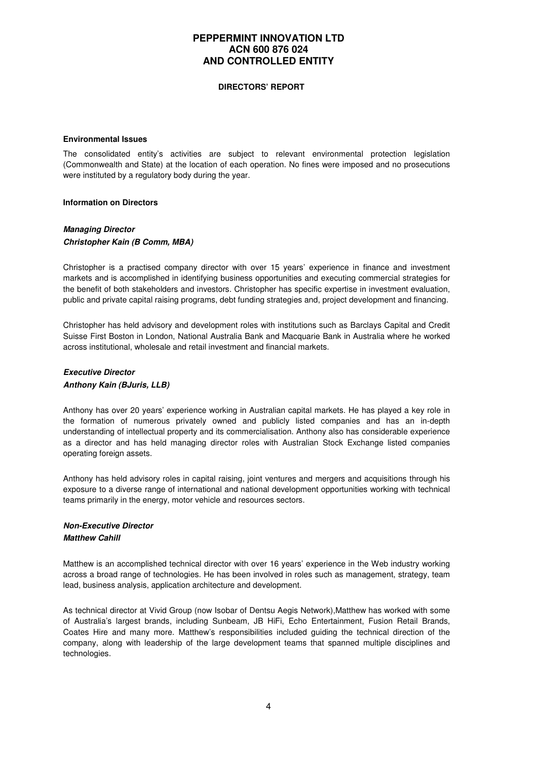#### **DIRECTORS' REPORT**

#### **Environmental Issues**

The consolidated entity's activities are subject to relevant environmental protection legislation (Commonwealth and State) at the location of each operation. No fines were imposed and no prosecutions were instituted by a regulatory body during the year.

#### **Information on Directors**

# **Managing Director**

### **Christopher Kain (B Comm, MBA)**

Christopher is a practised company director with over 15 years' experience in finance and investment markets and is accomplished in identifying business opportunities and executing commercial strategies for the benefit of both stakeholders and investors. Christopher has specific expertise in investment evaluation, public and private capital raising programs, debt funding strategies and, project development and financing.

Christopher has held advisory and development roles with institutions such as Barclays Capital and Credit Suisse First Boston in London, National Australia Bank and Macquarie Bank in Australia where he worked across institutional, wholesale and retail investment and financial markets.

### **Executive Director Anthony Kain (BJuris, LLB)**

Anthony has over 20 years' experience working in Australian capital markets. He has played a key role in the formation of numerous privately owned and publicly listed companies and has an in-depth understanding of intellectual property and its commercialisation. Anthony also has considerable experience as a director and has held managing director roles with Australian Stock Exchange listed companies operating foreign assets.

Anthony has held advisory roles in capital raising, joint ventures and mergers and acquisitions through his exposure to a diverse range of international and national development opportunities working with technical teams primarily in the energy, motor vehicle and resources sectors.

### **Non-Executive Director Matthew Cahill**

Matthew is an accomplished technical director with over 16 years' experience in the Web industry working across a broad range of technologies. He has been involved in roles such as management, strategy, team lead, business analysis, application architecture and development.

As technical director at Vivid Group (now Isobar of Dentsu Aegis Network),Matthew has worked with some of Australia's largest brands, including Sunbeam, JB HiFi, Echo Entertainment, Fusion Retail Brands, Coates Hire and many more. Matthew's responsibilities included guiding the technical direction of the company, along with leadership of the large development teams that spanned multiple disciplines and technologies.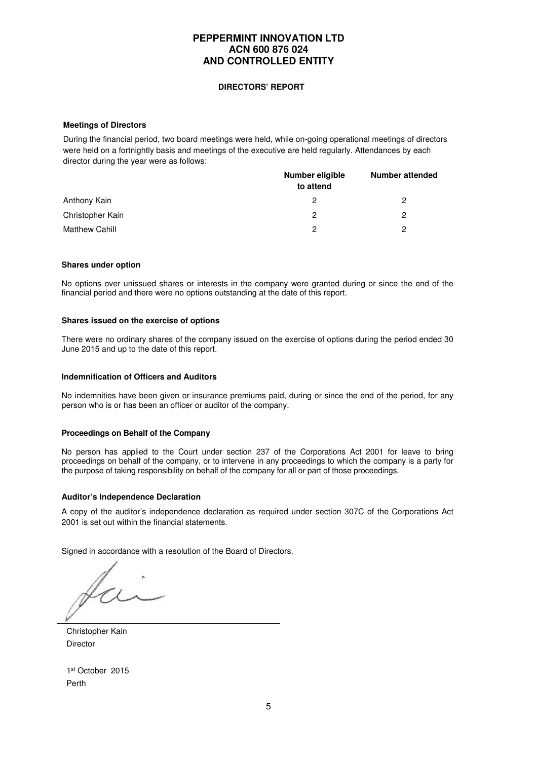### **DIRECTORS' REPORT**

#### **Meetings of Directors**

During the financial period, two board meetings were held, while on-going operational meetings of directors were held on a fortnightly basis and meetings of the executive are held regularly. Attendances by each director during the year were as follows:

|                  | Number eligible<br>to attend | <b>Number attended</b> |
|------------------|------------------------------|------------------------|
| Anthony Kain     | 2                            | 2                      |
| Christopher Kain | 2                            | 2                      |
| Matthew Cahill   | 0                            | 2                      |

#### **Shares under option**

No options over unissued shares or interests in the company were granted during or since the end of the financial period and there were no options outstanding at the date of this report.

#### **Shares issued on the exercise of options**

There were no ordinary shares of the company issued on the exercise of options during the period ended 30 June 2015 and up to the date of this report.

#### **Indemnification of Officers and Auditors**

No indemnities have been given or insurance premiums paid, during or since the end of the period, for any person who is or has been an officer or auditor of the company.

#### **Proceedings on Behalf of the Company**

No person has applied to the Court under section 237 of the Corporations Act 2001 for leave to bring proceedings on behalf of the company, or to intervene in any proceedings to which the company is a party for the purpose of taking responsibility on behalf of the company for all or part of those proceedings.

#### **Auditor's Independence Declaration**

A copy of the auditor's independence declaration as required under section 307C of the Corporations Act 2001 is set out within the financial statements.

Signed in accordance with a resolution of the Board of Directors.

Christopher Kain Director

1 st October 2015 Perth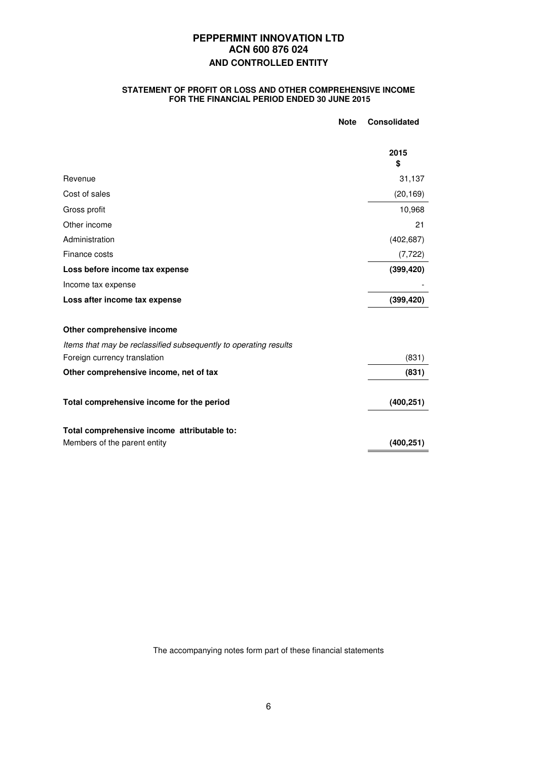### **STATEMENT OF PROFIT OR LOSS AND OTHER COMPREHENSIVE INCOME FOR THE FINANCIAL PERIOD ENDED 30 JUNE 2015**

|                                                                  | <b>Note</b> | <b>Consolidated</b> |
|------------------------------------------------------------------|-------------|---------------------|
|                                                                  |             | 2015<br>\$          |
| Revenue                                                          |             | 31,137              |
| Cost of sales                                                    |             | (20, 169)           |
| Gross profit                                                     |             | 10,968              |
| Other income                                                     |             | 21                  |
| Administration                                                   |             | (402, 687)          |
| Finance costs                                                    |             | (7, 722)            |
| Loss before income tax expense                                   |             | (399, 420)          |
| Income tax expense                                               |             |                     |
| Loss after income tax expense                                    |             | (399, 420)          |
| Other comprehensive income                                       |             |                     |
| Items that may be reclassified subsequently to operating results |             |                     |
| Foreign currency translation                                     |             | (831)               |
| Other comprehensive income, net of tax                           |             | (831)               |
| Total comprehensive income for the period                        |             | (400, 251)          |
| Total comprehensive income attributable to:                      |             |                     |
| Members of the parent entity                                     |             | (400, 251)          |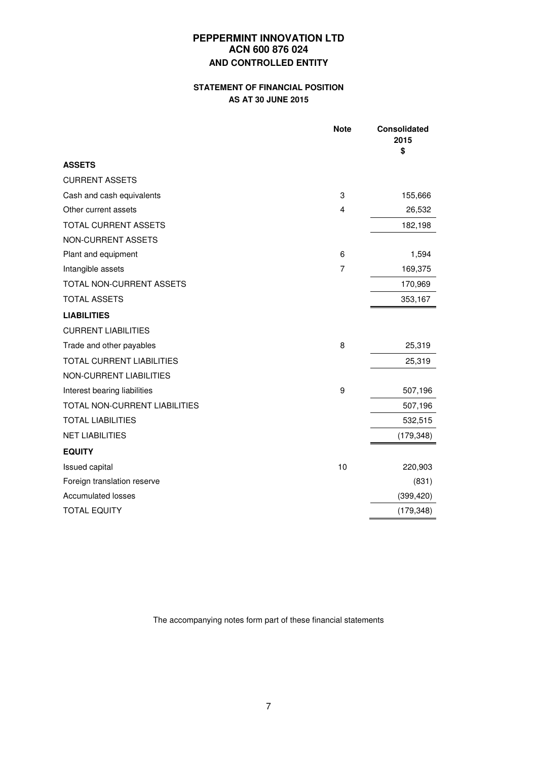# **STATEMENT OF FINANCIAL POSITION AS AT 30 JUNE 2015**

|                                      | <b>Note</b> | <b>Consolidated</b><br>2015<br>\$ |
|--------------------------------------|-------------|-----------------------------------|
| <b>ASSETS</b>                        |             |                                   |
| <b>CURRENT ASSETS</b>                |             |                                   |
| Cash and cash equivalents            | 3           | 155,666                           |
| Other current assets                 | 4           | 26,532                            |
| TOTAL CURRENT ASSETS                 |             | 182,198                           |
| NON-CURRENT ASSETS                   |             |                                   |
| Plant and equipment                  | 6           | 1,594                             |
| Intangible assets                    | 7           | 169,375                           |
| TOTAL NON-CURRENT ASSETS             |             | 170,969                           |
| <b>TOTAL ASSETS</b>                  |             | 353,167                           |
| <b>LIABILITIES</b>                   |             |                                   |
| <b>CURRENT LIABILITIES</b>           |             |                                   |
| Trade and other payables             | 8           | 25,319                            |
| TOTAL CURRENT LIABILITIES            |             | 25,319                            |
| NON-CURRENT LIABILITIES              |             |                                   |
| Interest bearing liabilities         | 9           | 507,196                           |
| <b>TOTAL NON-CURRENT LIABILITIES</b> |             | 507,196                           |
| <b>TOTAL LIABILITIES</b>             |             | 532,515                           |
| <b>NET LIABILITIES</b>               |             | (179, 348)                        |
| <b>EQUITY</b>                        |             |                                   |
| Issued capital                       | 10          | 220,903                           |
| Foreign translation reserve          |             | (831)                             |
| <b>Accumulated losses</b>            |             | (399, 420)                        |
| <b>TOTAL EQUITY</b>                  |             | (179, 348)                        |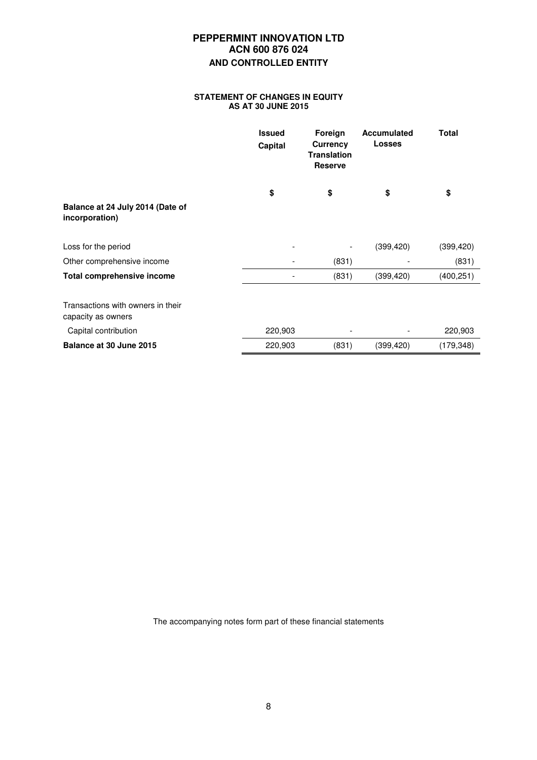#### **STATEMENT OF CHANGES IN EQUITY AS AT 30 JUNE 2015**

|                                                         | <b>Issued</b><br><b>Capital</b> | Foreign<br>Currency<br><b>Translation</b><br><b>Reserve</b> | <b>Accumulated</b><br><b>Losses</b> | <b>Total</b> |
|---------------------------------------------------------|---------------------------------|-------------------------------------------------------------|-------------------------------------|--------------|
|                                                         | \$                              | \$                                                          | \$                                  | \$           |
| Balance at 24 July 2014 (Date of<br>incorporation)      |                                 |                                                             |                                     |              |
| Loss for the period                                     |                                 |                                                             | (399, 420)                          | (399, 420)   |
| Other comprehensive income                              |                                 | (831)                                                       |                                     | (831)        |
| <b>Total comprehensive income</b>                       |                                 | (831)                                                       | (399, 420)                          | (400, 251)   |
| Transactions with owners in their<br>capacity as owners |                                 |                                                             |                                     |              |
| Capital contribution                                    | 220,903                         |                                                             |                                     | 220,903      |
| Balance at 30 June 2015                                 | 220,903                         | (831)                                                       | (399, 420)                          | (179, 348)   |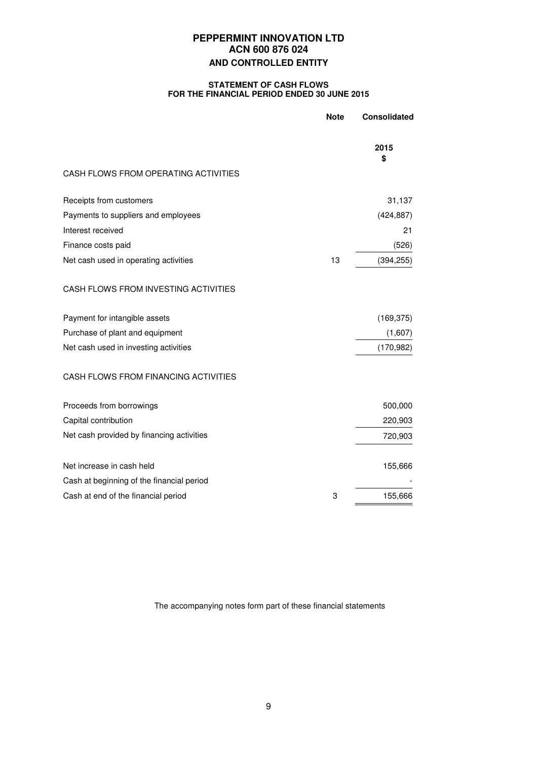### **STATEMENT OF CASH FLOWS FOR THE FINANCIAL PERIOD ENDED 30 JUNE 2015**

|                                                                        | <b>Note</b> | Consolidated |
|------------------------------------------------------------------------|-------------|--------------|
|                                                                        |             | 2015<br>\$   |
| CASH FLOWS FROM OPERATING ACTIVITIES                                   |             |              |
| Receipts from customers                                                |             | 31,137       |
| Payments to suppliers and employees                                    |             | (424, 887)   |
| Interest received                                                      |             | 21           |
| Finance costs paid                                                     |             | (526)        |
| Net cash used in operating activities                                  | 13          | (394, 255)   |
| CASH FLOWS FROM INVESTING ACTIVITIES                                   |             |              |
| Payment for intangible assets                                          |             | (169, 375)   |
| Purchase of plant and equipment                                        |             | (1,607)      |
| Net cash used in investing activities                                  |             | (170, 982)   |
| CASH FLOWS FROM FINANCING ACTIVITIES                                   |             |              |
| Proceeds from borrowings                                               |             | 500,000      |
| Capital contribution                                                   |             | 220,903      |
| Net cash provided by financing activities                              |             | 720,903      |
| Net increase in cash held<br>Cash at beginning of the financial period |             | 155,666      |
| Cash at end of the financial period                                    | 3           | 155,666      |
|                                                                        |             |              |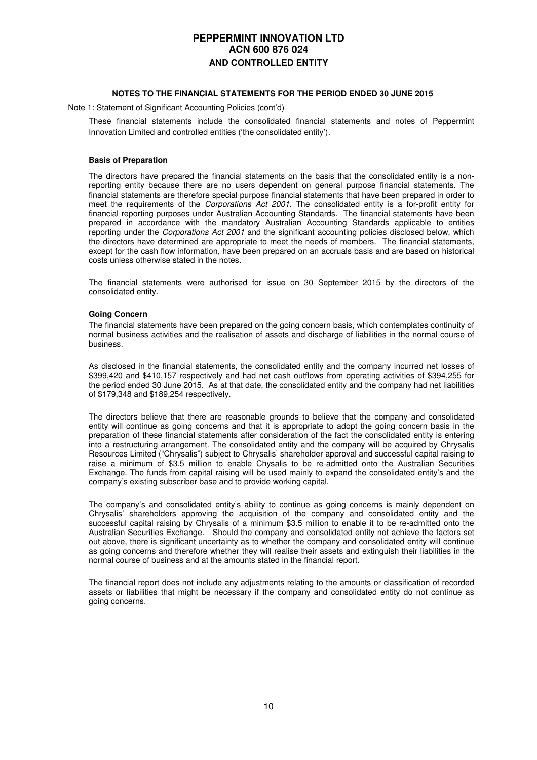### **NOTES TO THE FINANCIAL STATEMENTS FOR THE PERIOD ENDED 30 JUNE 2015**

Note 1: Statement of Significant Accounting Policies (cont'd)

These financial statements include the consolidated financial statements and notes of Peppermint Innovation Limited and controlled entities ('the consolidated entity').

#### **Basis of Preparation**

The directors have prepared the financial statements on the basis that the consolidated entity is a nonreporting entity because there are no users dependent on general purpose financial statements. The financial statements are therefore special purpose financial statements that have been prepared in order to meet the requirements of the Corporations Act 2001. The consolidated entity is a for-profit entity for financial reporting purposes under Australian Accounting Standards. The financial statements have been prepared in accordance with the mandatory Australian Accounting Standards applicable to entities reporting under the Corporations Act 2001 and the significant accounting policies disclosed below, which the directors have determined are appropriate to meet the needs of members. The financial statements, except for the cash flow information, have been prepared on an accruals basis and are based on historical costs unless otherwise stated in the notes.

The financial statements were authorised for issue on 30 September 2015 by the directors of the consolidated entity.

#### **Going Concern**

The financial statements have been prepared on the going concern basis, which contemplates continuity of normal business activities and the realisation of assets and discharge of liabilities in the normal course of business.

As disclosed in the financial statements, the consolidated entity and the company incurred net losses of \$399,420 and \$410,157 respectively and had net cash outflows from operating activities of \$394,255 for the period ended 30 June 2015. As at that date, the consolidated entity and the company had net liabilities of \$179,348 and \$189,254 respectively.

The directors believe that there are reasonable grounds to believe that the company and consolidated entity will continue as going concerns and that it is appropriate to adopt the going concern basis in the preparation of these financial statements after consideration of the fact the consolidated entity is entering into a restructuring arrangement. The consolidated entity and the company will be acquired by Chrysalis Resources Limited ("Chrysalis") subject to Chrysalis' shareholder approval and successful capital raising to raise a minimum of \$3.5 million to enable Chysalis to be re-admitted onto the Australian Securities Exchange. The funds from capital raising will be used mainly to expand the consolidated entity's and the company's existing subscriber base and to provide working capital.

The company's and consolidated entity's ability to continue as going concerns is mainly dependent on Chrysalis' shareholders approving the acquisition of the company and consolidated entity and the successful capital raising by Chrysalis of a minimum \$3.5 million to enable it to be re-admitted onto the Australian Securities Exchange. Should the company and consolidated entity not achieve the factors set out above, there is significant uncertainty as to whether the company and consolidated entity will continue as going concerns and therefore whether they will realise their assets and extinguish their liabilities in the normal course of business and at the amounts stated in the financial report.

The financial report does not include any adjustments relating to the amounts or classification of recorded assets or liabilities that might be necessary if the company and consolidated entity do not continue as going concerns.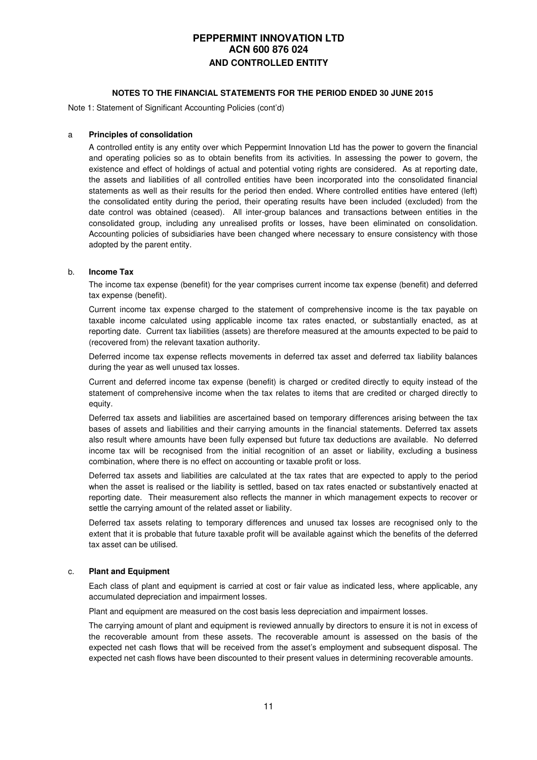### **NOTES TO THE FINANCIAL STATEMENTS FOR THE PERIOD ENDED 30 JUNE 2015**

Note 1: Statement of Significant Accounting Policies (cont'd)

### a **Principles of consolidation**

A controlled entity is any entity over which Peppermint Innovation Ltd has the power to govern the financial and operating policies so as to obtain benefits from its activities. In assessing the power to govern, the existence and effect of holdings of actual and potential voting rights are considered. As at reporting date, the assets and liabilities of all controlled entities have been incorporated into the consolidated financial statements as well as their results for the period then ended. Where controlled entities have entered (left) the consolidated entity during the period, their operating results have been included (excluded) from the date control was obtained (ceased). All inter-group balances and transactions between entities in the consolidated group, including any unrealised profits or losses, have been eliminated on consolidation. Accounting policies of subsidiaries have been changed where necessary to ensure consistency with those adopted by the parent entity.

### b. **Income Tax**

The income tax expense (benefit) for the year comprises current income tax expense (benefit) and deferred tax expense (benefit).

 Current income tax expense charged to the statement of comprehensive income is the tax payable on taxable income calculated using applicable income tax rates enacted, or substantially enacted, as at reporting date. Current tax liabilities (assets) are therefore measured at the amounts expected to be paid to (recovered from) the relevant taxation authority.

Deferred income tax expense reflects movements in deferred tax asset and deferred tax liability balances during the year as well unused tax losses.

 Current and deferred income tax expense (benefit) is charged or credited directly to equity instead of the statement of comprehensive income when the tax relates to items that are credited or charged directly to equity.

 Deferred tax assets and liabilities are ascertained based on temporary differences arising between the tax bases of assets and liabilities and their carrying amounts in the financial statements. Deferred tax assets also result where amounts have been fully expensed but future tax deductions are available. No deferred income tax will be recognised from the initial recognition of an asset or liability, excluding a business combination, where there is no effect on accounting or taxable profit or loss.

 Deferred tax assets and liabilities are calculated at the tax rates that are expected to apply to the period when the asset is realised or the liability is settled, based on tax rates enacted or substantively enacted at reporting date. Their measurement also reflects the manner in which management expects to recover or settle the carrying amount of the related asset or liability.

Deferred tax assets relating to temporary differences and unused tax losses are recognised only to the extent that it is probable that future taxable profit will be available against which the benefits of the deferred tax asset can be utilised.

#### c. **Plant and Equipment**

Each class of plant and equipment is carried at cost or fair value as indicated less, where applicable, any accumulated depreciation and impairment losses.

Plant and equipment are measured on the cost basis less depreciation and impairment losses.

The carrying amount of plant and equipment is reviewed annually by directors to ensure it is not in excess of the recoverable amount from these assets. The recoverable amount is assessed on the basis of the expected net cash flows that will be received from the asset's employment and subsequent disposal. The expected net cash flows have been discounted to their present values in determining recoverable amounts.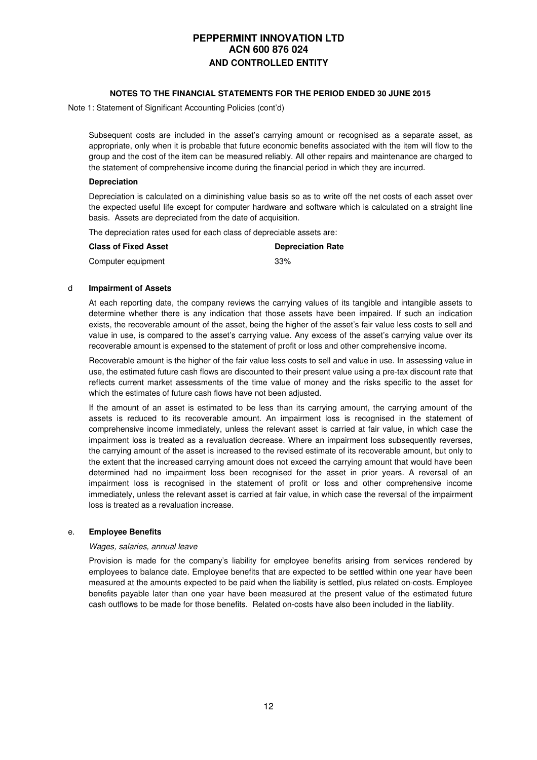#### **NOTES TO THE FINANCIAL STATEMENTS FOR THE PERIOD ENDED 30 JUNE 2015**

Note 1: Statement of Significant Accounting Policies (cont'd)

Subsequent costs are included in the asset's carrying amount or recognised as a separate asset, as appropriate, only when it is probable that future economic benefits associated with the item will flow to the group and the cost of the item can be measured reliably. All other repairs and maintenance are charged to the statement of comprehensive income during the financial period in which they are incurred.

#### **Depreciation**

Depreciation is calculated on a diminishing value basis so as to write off the net costs of each asset over the expected useful life except for computer hardware and software which is calculated on a straight line basis. Assets are depreciated from the date of acquisition.

The depreciation rates used for each class of depreciable assets are:

| <b>Class of Fixed Asset</b> | <b>Depreciation Rate</b> |
|-----------------------------|--------------------------|
| Computer equipment          | -33%                     |

#### d **Impairment of Assets**

At each reporting date, the company reviews the carrying values of its tangible and intangible assets to determine whether there is any indication that those assets have been impaired. If such an indication exists, the recoverable amount of the asset, being the higher of the asset's fair value less costs to sell and value in use, is compared to the asset's carrying value. Any excess of the asset's carrying value over its recoverable amount is expensed to the statement of profit or loss and other comprehensive income.

Recoverable amount is the higher of the fair value less costs to sell and value in use. In assessing value in use, the estimated future cash flows are discounted to their present value using a pre-tax discount rate that reflects current market assessments of the time value of money and the risks specific to the asset for which the estimates of future cash flows have not been adjusted.

 If the amount of an asset is estimated to be less than its carrying amount, the carrying amount of the assets is reduced to its recoverable amount. An impairment loss is recognised in the statement of comprehensive income immediately, unless the relevant asset is carried at fair value, in which case the impairment loss is treated as a revaluation decrease. Where an impairment loss subsequently reverses, the carrying amount of the asset is increased to the revised estimate of its recoverable amount, but only to the extent that the increased carrying amount does not exceed the carrying amount that would have been determined had no impairment loss been recognised for the asset in prior years. A reversal of an impairment loss is recognised in the statement of profit or loss and other comprehensive income immediately, unless the relevant asset is carried at fair value, in which case the reversal of the impairment loss is treated as a revaluation increase.

#### e. **Employee Benefits**

#### Wages, salaries, annual leave

 Provision is made for the company's liability for employee benefits arising from services rendered by employees to balance date. Employee benefits that are expected to be settled within one year have been measured at the amounts expected to be paid when the liability is settled, plus related on-costs. Employee benefits payable later than one year have been measured at the present value of the estimated future cash outflows to be made for those benefits. Related on-costs have also been included in the liability.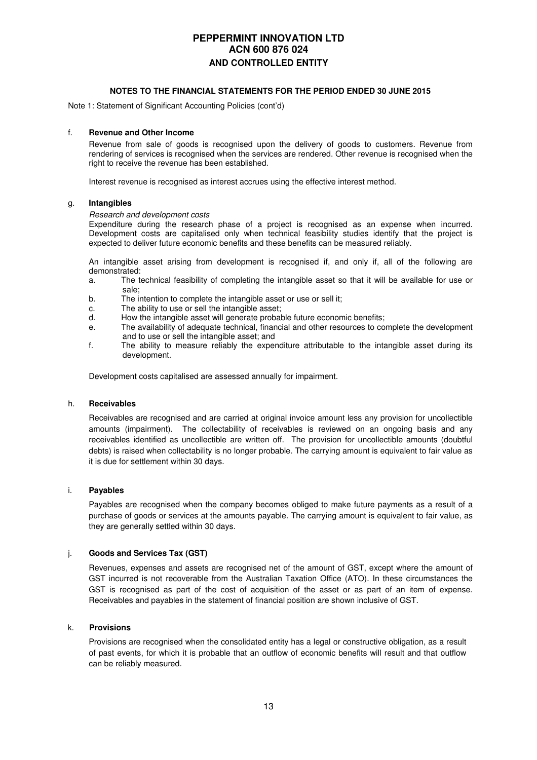#### **NOTES TO THE FINANCIAL STATEMENTS FOR THE PERIOD ENDED 30 JUNE 2015**

Note 1: Statement of Significant Accounting Policies (cont'd)

#### f. **Revenue and Other Income**

Revenue from sale of goods is recognised upon the delivery of goods to customers. Revenue from rendering of services is recognised when the services are rendered. Other revenue is recognised when the right to receive the revenue has been established.

Interest revenue is recognised as interest accrues using the effective interest method.

#### g. **Intangibles**

#### Research and development costs

Expenditure during the research phase of a project is recognised as an expense when incurred. Development costs are capitalised only when technical feasibility studies identify that the project is expected to deliver future economic benefits and these benefits can be measured reliably.

An intangible asset arising from development is recognised if, and only if, all of the following are demonstrated:

- a. The technical feasibility of completing the intangible asset so that it will be available for use or sale;
- b. The intention to complete the intangible asset or use or sell it;
- c. The ability to use or sell the intangible asset;
- d. How the intangible asset will generate probable future economic benefits;
- e. The availability of adequate technical, financial and other resources to complete the development and to use or sell the intangible asset; and
- f. The ability to measure reliably the expenditure attributable to the intangible asset during its development.

Development costs capitalised are assessed annually for impairment.

#### h. **Receivables**

 Receivables are recognised and are carried at original invoice amount less any provision for uncollectible amounts (impairment). The collectability of receivables is reviewed on an ongoing basis and any receivables identified as uncollectible are written off. The provision for uncollectible amounts (doubtful debts) is raised when collectability is no longer probable. The carrying amount is equivalent to fair value as it is due for settlement within 30 days.

### i. **Payables**

 Payables are recognised when the company becomes obliged to make future payments as a result of a purchase of goods or services at the amounts payable. The carrying amount is equivalent to fair value, as they are generally settled within 30 days.

#### j. **Goods and Services Tax (GST)**

 Revenues, expenses and assets are recognised net of the amount of GST, except where the amount of GST incurred is not recoverable from the Australian Taxation Office (ATO). In these circumstances the GST is recognised as part of the cost of acquisition of the asset or as part of an item of expense. Receivables and payables in the statement of financial position are shown inclusive of GST.

#### k. **Provisions**

 Provisions are recognised when the consolidated entity has a legal or constructive obligation, as a result of past events, for which it is probable that an outflow of economic benefits will result and that outflow can be reliably measured.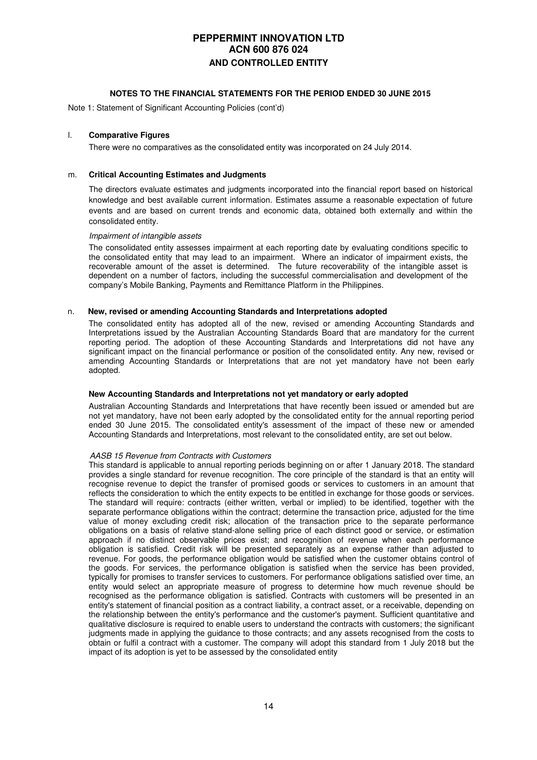#### **NOTES TO THE FINANCIAL STATEMENTS FOR THE PERIOD ENDED 30 JUNE 2015**

Note 1: Statement of Significant Accounting Policies (cont'd)

#### l. **Comparative Figures**

There were no comparatives as the consolidated entity was incorporated on 24 July 2014.

#### m. **Critical Accounting Estimates and Judgments**

 The directors evaluate estimates and judgments incorporated into the financial report based on historical knowledge and best available current information. Estimates assume a reasonable expectation of future events and are based on current trends and economic data, obtained both externally and within the consolidated entity.

#### Impairment of intangible assets

The consolidated entity assesses impairment at each reporting date by evaluating conditions specific to the consolidated entity that may lead to an impairment. Where an indicator of impairment exists, the recoverable amount of the asset is determined. The future recoverability of the intangible asset is dependent on a number of factors, including the successful commercialisation and development of the company's Mobile Banking, Payments and Remittance Platform in the Philippines.

#### n. **New, revised or amending Accounting Standards and Interpretations adopted**

The consolidated entity has adopted all of the new, revised or amending Accounting Standards and Interpretations issued by the Australian Accounting Standards Board that are mandatory for the current reporting period. The adoption of these Accounting Standards and Interpretations did not have any significant impact on the financial performance or position of the consolidated entity. Any new, revised or amending Accounting Standards or Interpretations that are not yet mandatory have not been early adopted.

#### **New Accounting Standards and Interpretations not yet mandatory or early adopted**

Australian Accounting Standards and Interpretations that have recently been issued or amended but are not yet mandatory, have not been early adopted by the consolidated entity for the annual reporting period ended 30 June 2015. The consolidated entity's assessment of the impact of these new or amended Accounting Standards and Interpretations, most relevant to the consolidated entity, are set out below.

#### AASB 15 Revenue from Contracts with Customers

This standard is applicable to annual reporting periods beginning on or after 1 January 2018. The standard provides a single standard for revenue recognition. The core principle of the standard is that an entity will recognise revenue to depict the transfer of promised goods or services to customers in an amount that reflects the consideration to which the entity expects to be entitled in exchange for those goods or services. The standard will require: contracts (either written, verbal or implied) to be identified, together with the separate performance obligations within the contract; determine the transaction price, adjusted for the time value of money excluding credit risk; allocation of the transaction price to the separate performance obligations on a basis of relative stand-alone selling price of each distinct good or service, or estimation approach if no distinct observable prices exist; and recognition of revenue when each performance obligation is satisfied. Credit risk will be presented separately as an expense rather than adjusted to revenue. For goods, the performance obligation would be satisfied when the customer obtains control of the goods. For services, the performance obligation is satisfied when the service has been provided, typically for promises to transfer services to customers. For performance obligations satisfied over time, an entity would select an appropriate measure of progress to determine how much revenue should be recognised as the performance obligation is satisfied. Contracts with customers will be presented in an entity's statement of financial position as a contract liability, a contract asset, or a receivable, depending on the relationship between the entity's performance and the customer's payment. Sufficient quantitative and qualitative disclosure is required to enable users to understand the contracts with customers; the significant judgments made in applying the guidance to those contracts; and any assets recognised from the costs to obtain or fulfil a contract with a customer. The company will adopt this standard from 1 July 2018 but the impact of its adoption is yet to be assessed by the consolidated entity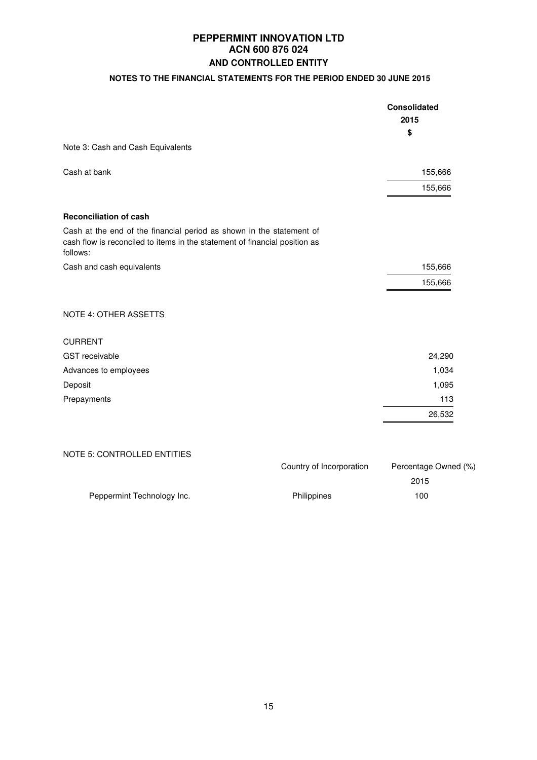# **NOTES TO THE FINANCIAL STATEMENTS FOR THE PERIOD ENDED 30 JUNE 2015**

|                                                                                                                                                                | Consolidated<br>2015<br>\$ |
|----------------------------------------------------------------------------------------------------------------------------------------------------------------|----------------------------|
| Note 3: Cash and Cash Equivalents                                                                                                                              |                            |
| Cash at bank                                                                                                                                                   | 155,666                    |
|                                                                                                                                                                | 155,666                    |
| <b>Reconciliation of cash</b>                                                                                                                                  |                            |
| Cash at the end of the financial period as shown in the statement of<br>cash flow is reconciled to items in the statement of financial position as<br>follows: |                            |
| Cash and cash equivalents                                                                                                                                      | 155,666                    |
|                                                                                                                                                                | 155,666                    |
| NOTE 4: OTHER ASSETTS                                                                                                                                          |                            |
| <b>CURRENT</b>                                                                                                                                                 |                            |
| <b>GST</b> receivable                                                                                                                                          | 24,290                     |
| Advances to employees                                                                                                                                          | 1,034                      |
| Deposit                                                                                                                                                        | 1,095                      |
| Prepayments                                                                                                                                                    | 113                        |
|                                                                                                                                                                | 26,532                     |

### NOTE 5: CONTROLLED ENTITIES

|                            | Country of Incorporation | Percentage Owned (%) |
|----------------------------|--------------------------|----------------------|
|                            |                          | 2015                 |
| Peppermint Technology Inc. | <b>Philippines</b>       | 100                  |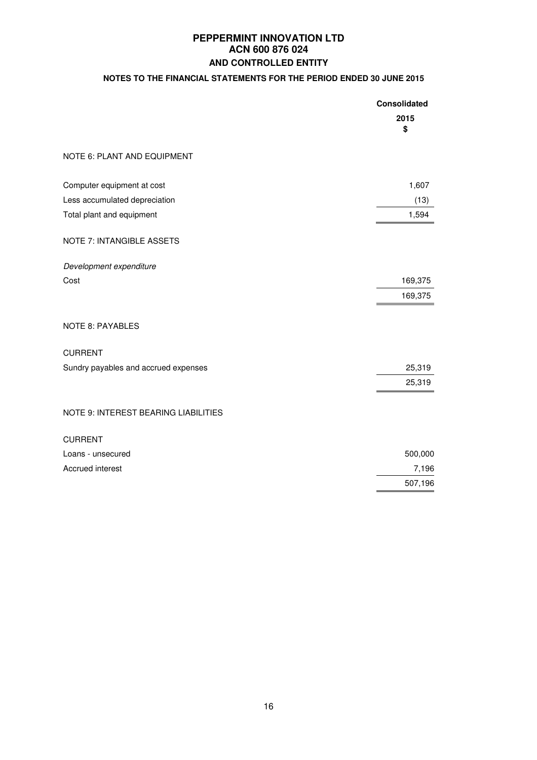# **NOTES TO THE FINANCIAL STATEMENTS FOR THE PERIOD ENDED 30 JUNE 2015**

|                                      | <b>Consolidated</b><br>2015<br>\$ |
|--------------------------------------|-----------------------------------|
| NOTE 6: PLANT AND EQUIPMENT          |                                   |
| Computer equipment at cost           | 1,607                             |
| Less accumulated depreciation        | (13)                              |
| Total plant and equipment            | 1,594                             |
| <b>NOTE 7: INTANGIBLE ASSETS</b>     |                                   |
| Development expenditure              |                                   |
| Cost                                 | 169,375                           |
|                                      | 169,375                           |
| <b>NOTE 8: PAYABLES</b>              |                                   |
| <b>CURRENT</b>                       |                                   |
| Sundry payables and accrued expenses | 25,319                            |
|                                      | 25,319                            |
| NOTE 9: INTEREST BEARING LIABILITIES |                                   |
| <b>CURRENT</b>                       |                                   |
| Loans - unsecured                    | 500,000                           |
| Accrued interest                     | 7,196                             |
|                                      | 507,196                           |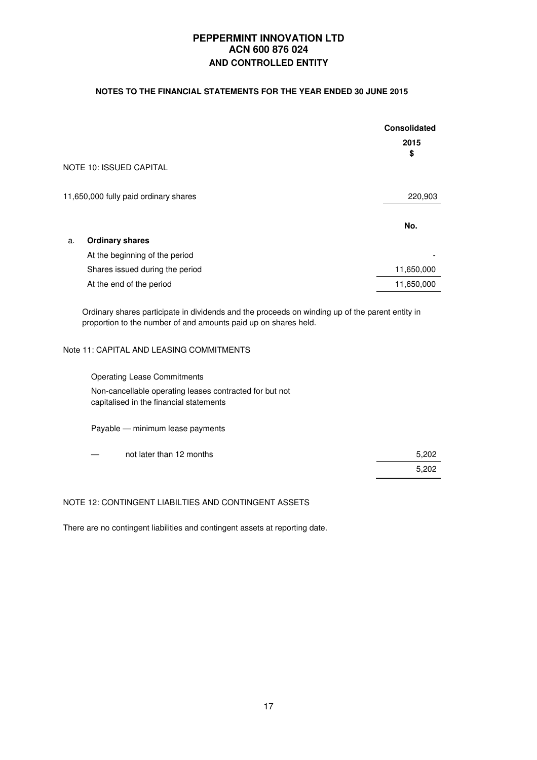### **NOTES TO THE FINANCIAL STATEMENTS FOR THE YEAR ENDED 30 JUNE 2015**

| NOTE 10: ISSUED CAPITAL               | <b>Consolidated</b><br>2015<br>\$ |
|---------------------------------------|-----------------------------------|
| 11,650,000 fully paid ordinary shares | 220,903                           |
|                                       | No.                               |
| <b>Ordinary shares</b><br>a.          |                                   |
| At the beginning of the period        |                                   |
| Shares issued during the period       | 11,650,000                        |
| At the end of the period              | 11,650,000                        |

Ordinary shares participate in dividends and the proceeds on winding up of the parent entity in proportion to the number of and amounts paid up on shares held.

#### Note 11: CAPITAL AND LEASING COMMITMENTS

Operating Lease Commitments Non-cancellable operating leases contracted for but not

capitalised in the financial statements

Payable — minimum lease payments

| $\overline{\phantom{0}}$ | not later than 12 months | 5,202 |
|--------------------------|--------------------------|-------|
|                          |                          | 5.202 |

## NOTE 12: CONTINGENT LIABILTIES AND CONTINGENT ASSETS

There are no contingent liabilities and contingent assets at reporting date.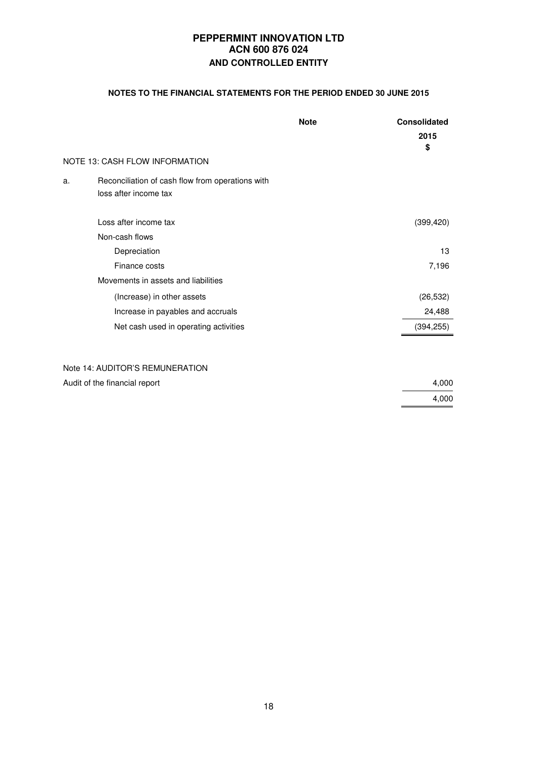## **NOTES TO THE FINANCIAL STATEMENTS FOR THE PERIOD ENDED 30 JUNE 2015**

|    |                                                                           | <b>Note</b> | <b>Consolidated</b> |
|----|---------------------------------------------------------------------------|-------------|---------------------|
|    |                                                                           |             | 2015<br>\$          |
|    | NOTE 13: CASH FLOW INFORMATION                                            |             |                     |
| a. | Reconciliation of cash flow from operations with<br>loss after income tax |             |                     |
|    | Loss after income tax                                                     |             | (399, 420)          |
|    | Non-cash flows                                                            |             |                     |
|    | Depreciation                                                              |             | 13                  |
|    | Finance costs                                                             |             | 7,196               |
|    | Movements in assets and liabilities                                       |             |                     |
|    | (Increase) in other assets                                                |             | (26, 532)           |
|    | Increase in payables and accruals                                         |             | 24,488              |
|    | Net cash used in operating activities                                     |             | (394, 255)          |
|    | Note 14: AUDITOR'S REMUNERATION                                           |             |                     |
|    | Audit of the financial report                                             |             | 4,000               |
|    |                                                                           |             | 4,000               |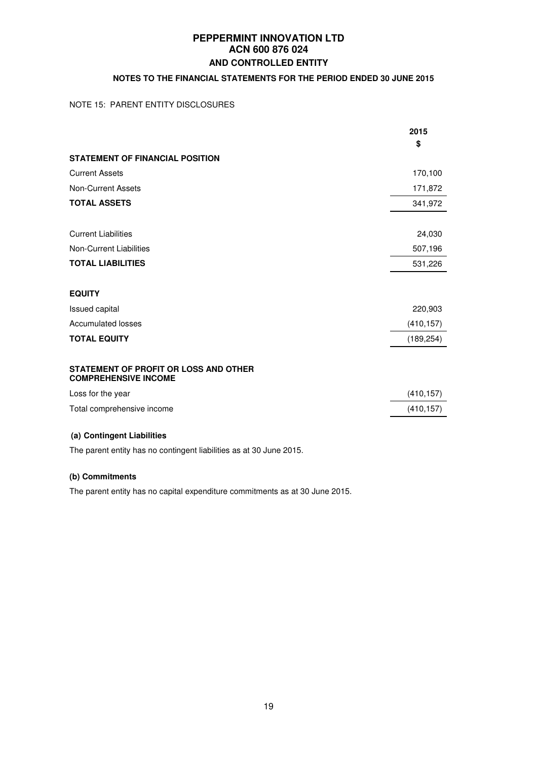# **NOTES TO THE FINANCIAL STATEMENTS FOR THE PERIOD ENDED 30 JUNE 2015**

### NOTE 15: PARENT ENTITY DISCLOSURES

|                                                                      | 2015<br>\$ |
|----------------------------------------------------------------------|------------|
| <b>STATEMENT OF FINANCIAL POSITION</b>                               |            |
| <b>Current Assets</b>                                                | 170,100    |
| <b>Non-Current Assets</b>                                            | 171,872    |
| <b>TOTAL ASSETS</b>                                                  | 341,972    |
| <b>Current Liabilities</b>                                           | 24,030     |
| <b>Non-Current Liabilities</b>                                       | 507,196    |
| <b>TOTAL LIABILITIES</b>                                             | 531,226    |
| <b>EQUITY</b>                                                        |            |
| Issued capital                                                       | 220,903    |
| <b>Accumulated losses</b>                                            | (410, 157) |
| <b>TOTAL EQUITY</b>                                                  | (189, 254) |
| STATEMENT OF PROFIT OR LOSS AND OTHER<br><b>COMPREHENSIVE INCOME</b> |            |
| Loss for the year                                                    | (410, 157) |
| Total comprehensive income                                           | (410, 157) |
|                                                                      |            |

# **(a) Contingent Liabilities**

The parent entity has no contingent liabilities as at 30 June 2015.

### **(b) Commitments**

The parent entity has no capital expenditure commitments as at 30 June 2015.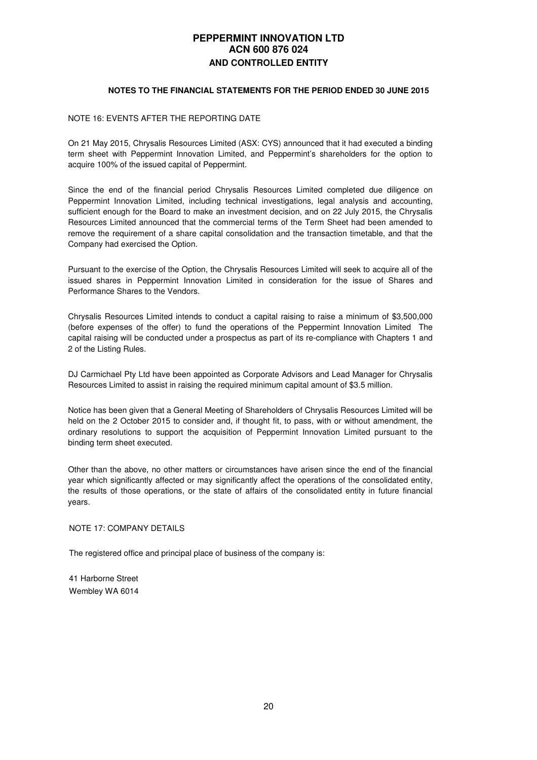#### **NOTES TO THE FINANCIAL STATEMENTS FOR THE PERIOD ENDED 30 JUNE 2015**

#### NOTE 16: EVENTS AFTER THE REPORTING DATE

On 21 May 2015, Chrysalis Resources Limited (ASX: CYS) announced that it had executed a binding term sheet with Peppermint Innovation Limited, and Peppermint's shareholders for the option to acquire 100% of the issued capital of Peppermint.

Since the end of the financial period Chrysalis Resources Limited completed due diligence on Peppermint Innovation Limited, including technical investigations, legal analysis and accounting, sufficient enough for the Board to make an investment decision, and on 22 July 2015, the Chrysalis Resources Limited announced that the commercial terms of the Term Sheet had been amended to remove the requirement of a share capital consolidation and the transaction timetable, and that the Company had exercised the Option.

Pursuant to the exercise of the Option, the Chrysalis Resources Limited will seek to acquire all of the issued shares in Peppermint Innovation Limited in consideration for the issue of Shares and Performance Shares to the Vendors.

Chrysalis Resources Limited intends to conduct a capital raising to raise a minimum of \$3,500,000 (before expenses of the offer) to fund the operations of the Peppermint Innovation Limited The capital raising will be conducted under a prospectus as part of its re-compliance with Chapters 1 and 2 of the Listing Rules.

DJ Carmichael Pty Ltd have been appointed as Corporate Advisors and Lead Manager for Chrysalis Resources Limited to assist in raising the required minimum capital amount of \$3.5 million.

Notice has been given that a General Meeting of Shareholders of Chrysalis Resources Limited will be held on the 2 October 2015 to consider and, if thought fit, to pass, with or without amendment, the ordinary resolutions to support the acquisition of Peppermint Innovation Limited pursuant to the binding term sheet executed.

Other than the above, no other matters or circumstances have arisen since the end of the financial year which significantly affected or may significantly affect the operations of the consolidated entity, the results of those operations, or the state of affairs of the consolidated entity in future financial years.

NOTE 17: COMPANY DETAILS

The registered office and principal place of business of the company is:

41 Harborne Street Wembley WA 6014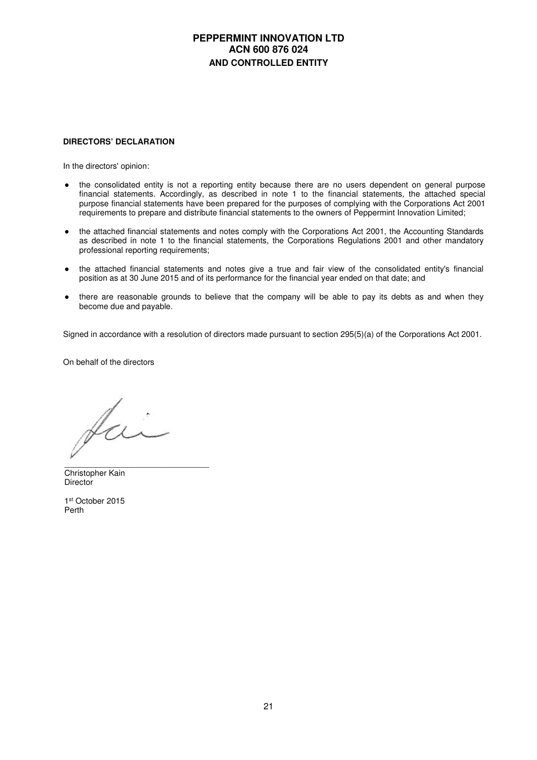#### **DIRECTORS' DECLARATION**

In the directors' opinion:

- the consolidated entity is not a reporting entity because there are no users dependent on general purpose financial statements. Accordingly, as described in note 1 to the financial statements, the attached special purpose financial statements have been prepared for the purposes of complying with the Corporations Act 2001 requirements to prepare and distribute financial statements to the owners of Peppermint Innovation Limited;
- the attached financial statements and notes comply with the Corporations Act 2001, the Accounting Standards as described in note 1 to the financial statements, the Corporations Regulations 2001 and other mandatory professional reporting requirements;
- the attached financial statements and notes give a true and fair view of the consolidated entity's financial position as at 30 June 2015 and of its performance for the financial year ended on that date; and
- there are reasonable grounds to believe that the company will be able to pay its debts as and when they become due and payable.

Signed in accordance with a resolution of directors made pursuant to section 295(5)(a) of the Corporations Act 2001.

On behalf of the directors

 $\_$ Christopher Kain **Director** 

1 st October 2015 Perth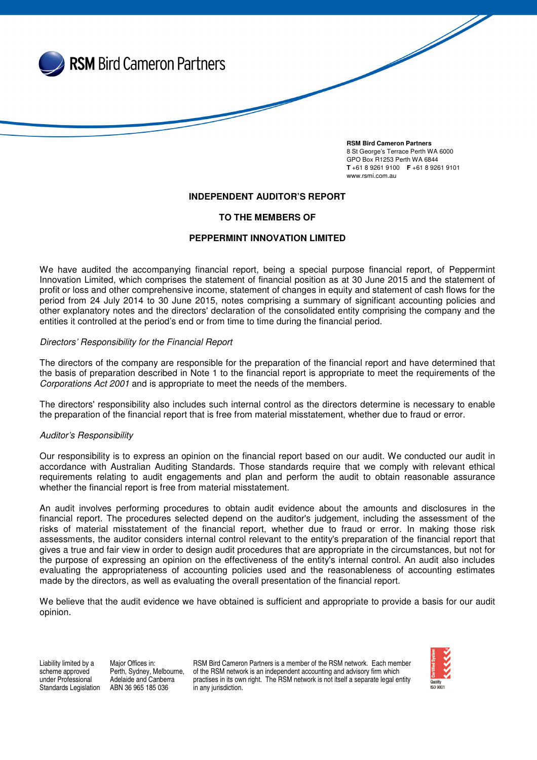

8 St George's Terrace Perth WA 6000 GPO Box R1253 Perth WA 6844 **T** +61 8 9261 9100 **F** +61 8 9261 9101 www.rsmi.com.au

### **INDEPENDENT AUDITOR'S REPORT**

### **TO THE MEMBERS OF**

### **PEPPERMINT INNOVATION LIMITED**

We have audited the accompanying financial report, being a special purpose financial report, of Peppermint Innovation Limited, which comprises the statement of financial position as at 30 June 2015 and the statement of profit or loss and other comprehensive income, statement of changes in equity and statement of cash flows for the period from 24 July 2014 to 30 June 2015, notes comprising a summary of significant accounting policies and other explanatory notes and the directors' declaration of the consolidated entity comprising the company and the entities it controlled at the period's end or from time to time during the financial period.

### Directors' Responsibility for the Financial Report

The directors of the company are responsible for the preparation of the financial report and have determined that the basis of preparation described in Note 1 to the financial report is appropriate to meet the requirements of the Corporations Act 2001 and is appropriate to meet the needs of the members.

The directors' responsibility also includes such internal control as the directors determine is necessary to enable the preparation of the financial report that is free from material misstatement, whether due to fraud or error.

#### Auditor's Responsibility

Our responsibility is to express an opinion on the financial report based on our audit. We conducted our audit in accordance with Australian Auditing Standards. Those standards require that we comply with relevant ethical requirements relating to audit engagements and plan and perform the audit to obtain reasonable assurance whether the financial report is free from material misstatement.

An audit involves performing procedures to obtain audit evidence about the amounts and disclosures in the financial report. The procedures selected depend on the auditor's judgement, including the assessment of the risks of material misstatement of the financial report, whether due to fraud or error. In making those risk assessments, the auditor considers internal control relevant to the entity's preparation of the financial report that gives a true and fair view in order to design audit procedures that are appropriate in the circumstances, but not for the purpose of expressing an opinion on the effectiveness of the entity's internal control. An audit also includes evaluating the appropriateness of accounting policies used and the reasonableness of accounting estimates made by the directors, as well as evaluating the overall presentation of the financial report.

We believe that the audit evidence we have obtained is sufficient and appropriate to provide a basis for our audit opinion.

Liability limited by a scheme approved under Professional Standards Legislation

Major Offices in: Perth, Sydney, Melbourne, Adelaide and Canberra ABN 36 965 185 036

RSM Bird Cameron Partners is a member of the RSM network. Each member of the RSM network is an independent accounting and advisory firm which practises in its own right. The RSM network is not itself a separate legal entity in any jurisdiction.

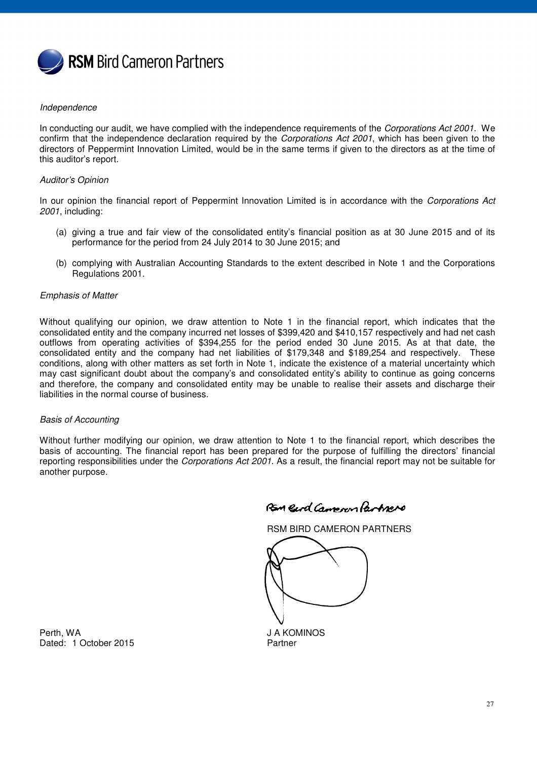

### Independence

In conducting our audit, we have complied with the independence requirements of the Corporations Act 2001. We confirm that the independence declaration required by the *Corporations Act 2001*, which has been given to the directors of Peppermint Innovation Limited, would be in the same terms if given to the directors as at the time of this auditor's report.

### Auditor's Opinion

In our opinion the financial report of Peppermint Innovation Limited is in accordance with the Corporations Act 2001, including:

- (a) giving a true and fair view of the consolidated entity's financial position as at 30 June 2015 and of its performance for the period from 24 July 2014 to 30 June 2015; and
- (b) complying with Australian Accounting Standards to the extent described in Note 1 and the Corporations Regulations 2001.

#### Emphasis of Matter

Without qualifying our opinion, we draw attention to Note 1 in the financial report, which indicates that the consolidated entity and the company incurred net losses of \$399,420 and \$410,157 respectively and had net cash outflows from operating activities of \$394,255 for the period ended 30 June 2015. As at that date, the consolidated entity and the company had net liabilities of \$179,348 and \$189,254 and respectively. These conditions, along with other matters as set forth in Note 1, indicate the existence of a material uncertainty which may cast significant doubt about the company's and consolidated entity's ability to continue as going concerns and therefore, the company and consolidated entity may be unable to realise their assets and discharge their liabilities in the normal course of business.

#### Basis of Accounting

Without further modifying our opinion, we draw attention to Note 1 to the financial report, which describes the basis of accounting. The financial report has been prepared for the purpose of fulfilling the directors' financial reporting responsibilities under the Corporations Act 2001. As a result, the financial report may not be suitable for another purpose.

Ran Red Campoon Partners

RSM BIRD CAMERON PARTNERS

Perth, WA J A KOMINOS Dated: 1 October 2015 **Partner**